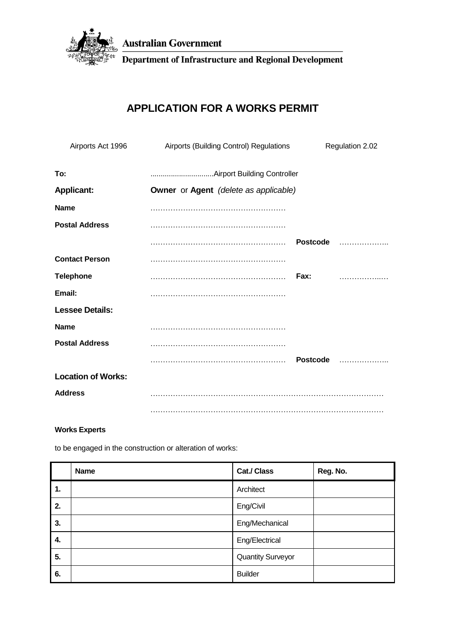

**Australian Government** 

Department of Infrastructure and Regional Development

# **APPLICATION FOR A WORKS PERMIT**

| Airports Act 1996         | Airports (Building Control) Regulations             |                 | Regulation 2.02 |  |
|---------------------------|-----------------------------------------------------|-----------------|-----------------|--|
| To:                       |                                                     |                 |                 |  |
| <b>Applicant:</b>         | <b>Owner</b> or <b>Agent</b> (delete as applicable) |                 |                 |  |
| <b>Name</b>               |                                                     |                 |                 |  |
| <b>Postal Address</b>     |                                                     |                 |                 |  |
|                           |                                                     | <b>Postcode</b> | .               |  |
| <b>Contact Person</b>     |                                                     |                 |                 |  |
| <b>Telephone</b>          |                                                     | Fax:            | .               |  |
| Email:                    |                                                     |                 |                 |  |
| <b>Lessee Details:</b>    |                                                     |                 |                 |  |
| Name                      |                                                     |                 |                 |  |
| <b>Postal Address</b>     |                                                     |                 |                 |  |
|                           |                                                     | <b>Postcode</b> | .               |  |
| <b>Location of Works:</b> |                                                     |                 |                 |  |
| <b>Address</b>            |                                                     |                 |                 |  |
|                           |                                                     |                 |                 |  |

## **Works Experts**

to be engaged in the construction or alteration of works:

|    | <b>Name</b> | Cat./ Class              | Reg. No. |
|----|-------------|--------------------------|----------|
| 1. |             | Architect                |          |
| 2. |             | Eng/Civil                |          |
| 3. |             | Eng/Mechanical           |          |
| 4. |             | Eng/Electrical           |          |
| 5. |             | <b>Quantity Surveyor</b> |          |
| 6. |             | <b>Builder</b>           |          |